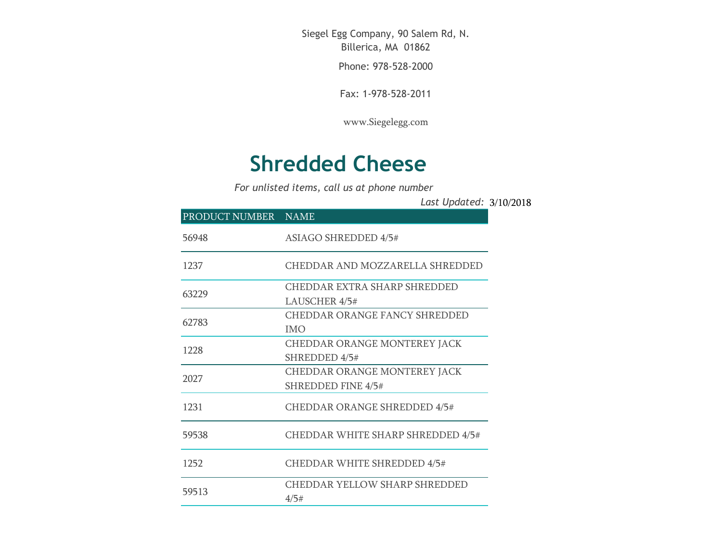Siegel Egg Company, 90 Salem Rd, N. Billerica, MA 01862

Phone: 978-528-2000

Fax: 1-978-528-2011

[www.Siegelegg.com](http://www.siegelegg.com/)

## **Shredded Cheese**

*For unlisted items, call us at phone number*

3/10/2018 *Last Updated:*

| PRODUCT NUMBER NAME                  |
|--------------------------------------|
| <b>ASIAGO SHREDDED 4/5#</b>          |
| CHEDDAR AND MOZZARELLA SHREDDED      |
| CHEDDAR EXTRA SHARP SHREDDED         |
| LAUSCHER 4/5#                        |
| <b>CHEDDAR ORANGE FANCY SHREDDED</b> |
| <b>IMO</b>                           |
| CHEDDAR ORANGE MONTEREY JACK         |
| SHREDDED 4/5#                        |
| CHEDDAR ORANGE MONTEREY JACK         |
| <b>SHREDDED FINE 4/5#</b>            |
| <b>CHEDDAR ORANGE SHREDDED 4/5#</b>  |
| CHEDDAR WHITE SHARP SHREDDED 4/5#    |
| <b>CHEDDAR WHITE SHREDDED 4/5#</b>   |
| <b>CHEDDAR YELLOW SHARP SHREDDED</b> |
| 4/5#                                 |
|                                      |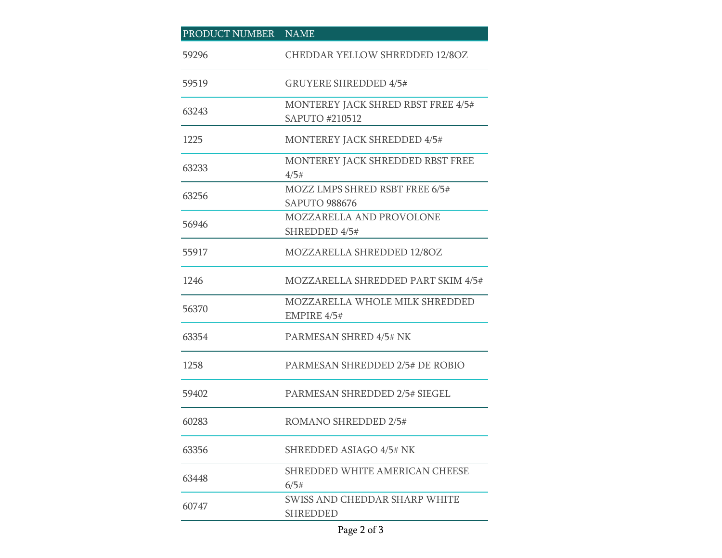| PRODUCT NUMBER NAME |                                                        |
|---------------------|--------------------------------------------------------|
| 59296               | <b>CHEDDAR YELLOW SHREDDED 12/8OZ</b>                  |
| 59519               | <b>GRUYERE SHREDDED 4/5#</b>                           |
| 63243               | MONTEREY JACK SHRED RBST FREE 4/5#<br>SAPUTO #210512   |
| 1225                | <b>MONTEREY JACK SHREDDED 4/5#</b>                     |
| 63233               | MONTEREY JACK SHREDDED RBST FREE<br>4/5#               |
| 63256               | MOZZ LMPS SHRED RSBT FREE 6/5#<br><b>SAPUTO 988676</b> |
| 56946               | MOZZARELLA AND PROVOLONE<br>SHREDDED 4/5#              |
| 55917               | MOZZARELLA SHREDDED 12/8OZ                             |
| 1246                | MOZZARELLA SHREDDED PART SKIM 4/5#                     |
| 56370               | MOZZARELLA WHOLE MILK SHREDDED<br>EMPIRE 4/5#          |
| 63354               | PARMESAN SHRED 4/5# NK                                 |
| 1258                | PARMESAN SHREDDED 2/5# DE ROBIO                        |
| 59402               | PARMESAN SHREDDED 2/5# SIEGEL                          |
| 60283               | ROMANO SHREDDED 2/5#                                   |
| 63356               | <b>SHREDDED ASIAGO 4/5# NK</b>                         |
| 63448               | SHREDDED WHITE AMERICAN CHEESE<br>6/5#                 |
| 60747               | SWISS AND CHEDDAR SHARP WHITE<br><b>SHREDDED</b>       |